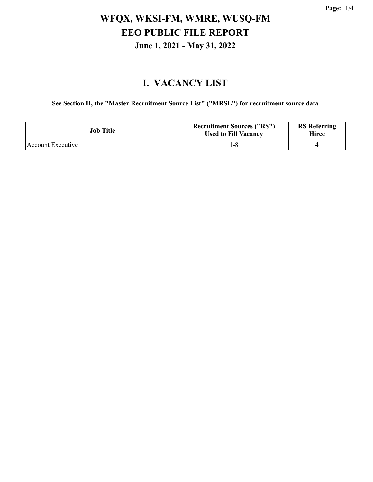# **WFQX, WKSI-FM, WMRE, WUSQ-FM EEO PUBLIC FILE REPORT June 1, 2021 - May 31, 2022**

#### **I. VACANCY LIST**

**See Section II, the "Master Recruitment Source List" ("MRSL") for recruitment source data**

| Job Title         | <b>Recruitment Sources ("RS")</b><br><b>Used to Fill Vacancy</b> | <b>RS</b> Referring<br>Hiree |
|-------------------|------------------------------------------------------------------|------------------------------|
| Account Executive |                                                                  |                              |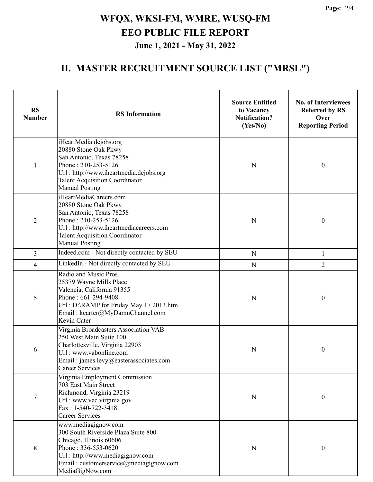**Page:** 2/4

# **WFQX, WKSI-FM, WMRE, WUSQ-FM EEO PUBLIC FILE REPORT June 1, 2021 - May 31, 2022**

#### **II. MASTER RECRUITMENT SOURCE LIST ("MRSL")**

| <b>RS</b><br><b>Number</b> | <b>RS</b> Information                                                                                                                                                                                         | <b>Source Entitled</b><br>to Vacancy<br><b>Notification?</b><br>(Yes/No) | <b>No. of Interviewees</b><br><b>Referred by RS</b><br>Over<br><b>Reporting Period</b> |
|----------------------------|---------------------------------------------------------------------------------------------------------------------------------------------------------------------------------------------------------------|--------------------------------------------------------------------------|----------------------------------------------------------------------------------------|
| $\mathbf{1}$               | iHeartMedia.dejobs.org<br>20880 Stone Oak Pkwy<br>San Antonio, Texas 78258<br>Phone: 210-253-5126<br>Url: http://www.iheartmedia.dejobs.org<br><b>Talent Acquisition Coordinator</b><br><b>Manual Posting</b> | $\mathbf N$                                                              | $\boldsymbol{0}$                                                                       |
| $\overline{2}$             | iHeartMediaCareers.com<br>20880 Stone Oak Pkwy<br>San Antonio, Texas 78258<br>Phone: 210-253-5126<br>Url: http://www.iheartmediacareers.com<br><b>Talent Acquisition Coordinator</b><br><b>Manual Posting</b> | ${\bf N}$                                                                | $\boldsymbol{0}$                                                                       |
| $\overline{3}$             | Indeed.com - Not directly contacted by SEU                                                                                                                                                                    | ${\bf N}$                                                                | 1                                                                                      |
| $\overline{4}$             | LinkedIn - Not directly contacted by SEU                                                                                                                                                                      | ${\bf N}$                                                                | $\overline{2}$                                                                         |
| 5                          | Radio and Music Pros<br>25379 Wayne Mills Place<br>Valencia, California 91355<br>Phone: 661-294-9408<br>Url: D:\RAMP for Friday May 17 2013.htm<br>Email: kcarter@MyDamnChannel.com<br>Kevin Cater            | ${\bf N}$                                                                | $\boldsymbol{0}$                                                                       |
| 6                          | Virginia Broadcasters Association VAB<br>250 West Main Suite 100<br>Charlottesville, Virginia 22903<br>Url: www.vabonline.com<br>Email: james.levy@easterassociates.com<br><b>Career Services</b>             | N                                                                        | $\boldsymbol{0}$                                                                       |
| $\boldsymbol{7}$           | Virginia Employment Commission<br>703 East Main Street<br>Richmond, Virginia 23219<br>Url: www.vec.virginia.gov<br>Fax: 1-540-722-3418<br><b>Career Services</b>                                              | N                                                                        | $\boldsymbol{0}$                                                                       |
| $8\,$                      | www.mediagignow.com<br>300 South Riverside Plaza Suite 800<br>Chicago, Illinois 60606<br>Phone: 336-553-0620<br>Url: http://www.mediagignow.com<br>Email: customerservice@mediagignow.com<br>MediaGigNow.com  | N                                                                        | $\boldsymbol{0}$                                                                       |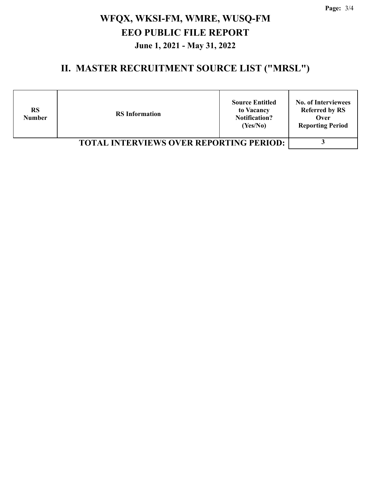**Page:** 3/4

# **WFQX, WKSI-FM, WMRE, WUSQ-FM EEO PUBLIC FILE REPORT June 1, 2021 - May 31, 2022**

#### **II. MASTER RECRUITMENT SOURCE LIST ("MRSL")**

| <b>RS</b><br><b>Number</b>                     | <b>RS</b> Information | <b>Source Entitled</b><br>to Vacancy<br><b>Notification?</b><br>(Yes/No) | <b>No. of Interviewees</b><br><b>Referred by RS</b><br>Over<br><b>Reporting Period</b> |
|------------------------------------------------|-----------------------|--------------------------------------------------------------------------|----------------------------------------------------------------------------------------|
| <b>TOTAL INTERVIEWS OVER REPORTING PERIOD:</b> |                       |                                                                          |                                                                                        |